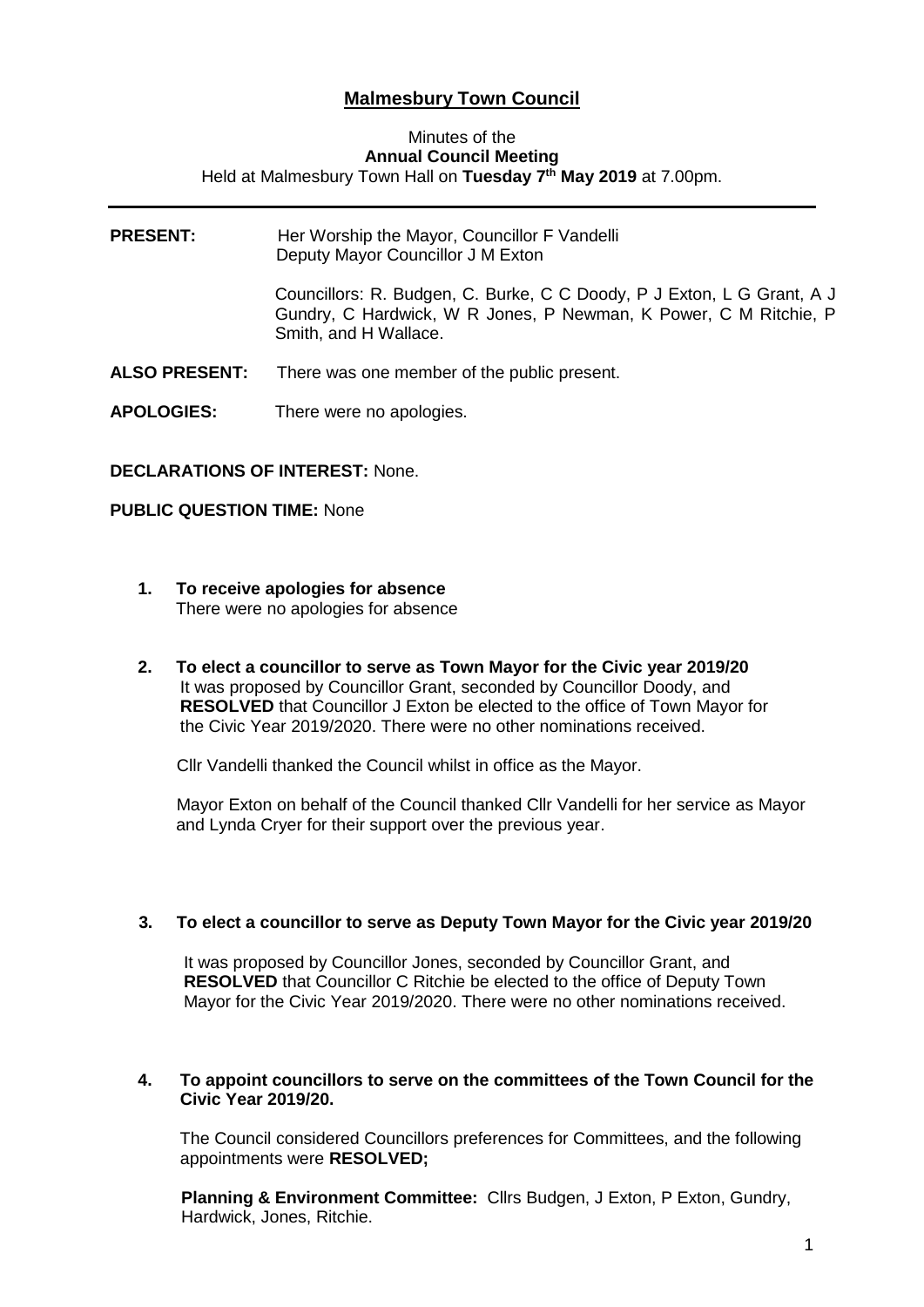# **Malmesbury Town Council**

#### Minutes of the **Annual Council Meeting** Held at Malmesbury Town Hall on **Tuesday 7 th May 2019** at 7.00pm.

| <b>PRESENT:</b>      | Her Worship the Mayor, Councillor F Vandelli<br>Deputy Mayor Councillor J M Exton                                                                                   |
|----------------------|---------------------------------------------------------------------------------------------------------------------------------------------------------------------|
|                      | Councillors: R. Budgen, C. Burke, C C Doody, P J Exton, L G Grant, A J<br>Gundry, C Hardwick, W R Jones, P Newman, K Power, C M Ritchie, P<br>Smith, and H Wallace. |
| <b>ALSO PRESENT:</b> | There was one member of the public present.                                                                                                                         |
| <b>APOLOGIES:</b>    | There were no apologies.                                                                                                                                            |

### **DECLARATIONS OF INTEREST:** None.

### **PUBLIC QUESTION TIME:** None

- **1. To receive apologies for absence** There were no apologies for absence
- **2. To elect a councillor to serve as Town Mayor for the Civic year 2019/20** It was proposed by Councillor Grant, seconded by Councillor Doody, and **RESOLVED** that Councillor J Exton be elected to the office of Town Mayor for the Civic Year 2019/2020. There were no other nominations received.

Cllr Vandelli thanked the Council whilst in office as the Mayor.

 Mayor Exton on behalf of the Council thanked Cllr Vandelli for her service as Mayor and Lynda Cryer for their support over the previous year.

### **3. To elect a councillor to serve as Deputy Town Mayor for the Civic year 2019/20**

It was proposed by Councillor Jones, seconded by Councillor Grant, and **RESOLVED** that Councillor C Ritchie be elected to the office of Deputy Town Mayor for the Civic Year 2019/2020. There were no other nominations received.

### **4. To appoint councillors to serve on the committees of the Town Council for the Civic Year 2019/20.**

The Council considered Councillors preferences for Committees, and the following appointments were **RESOLVED;**

**Planning & Environment Committee: Cllrs Budgen, J Exton, P Exton, Gundry,** Hardwick, Jones, Ritchie.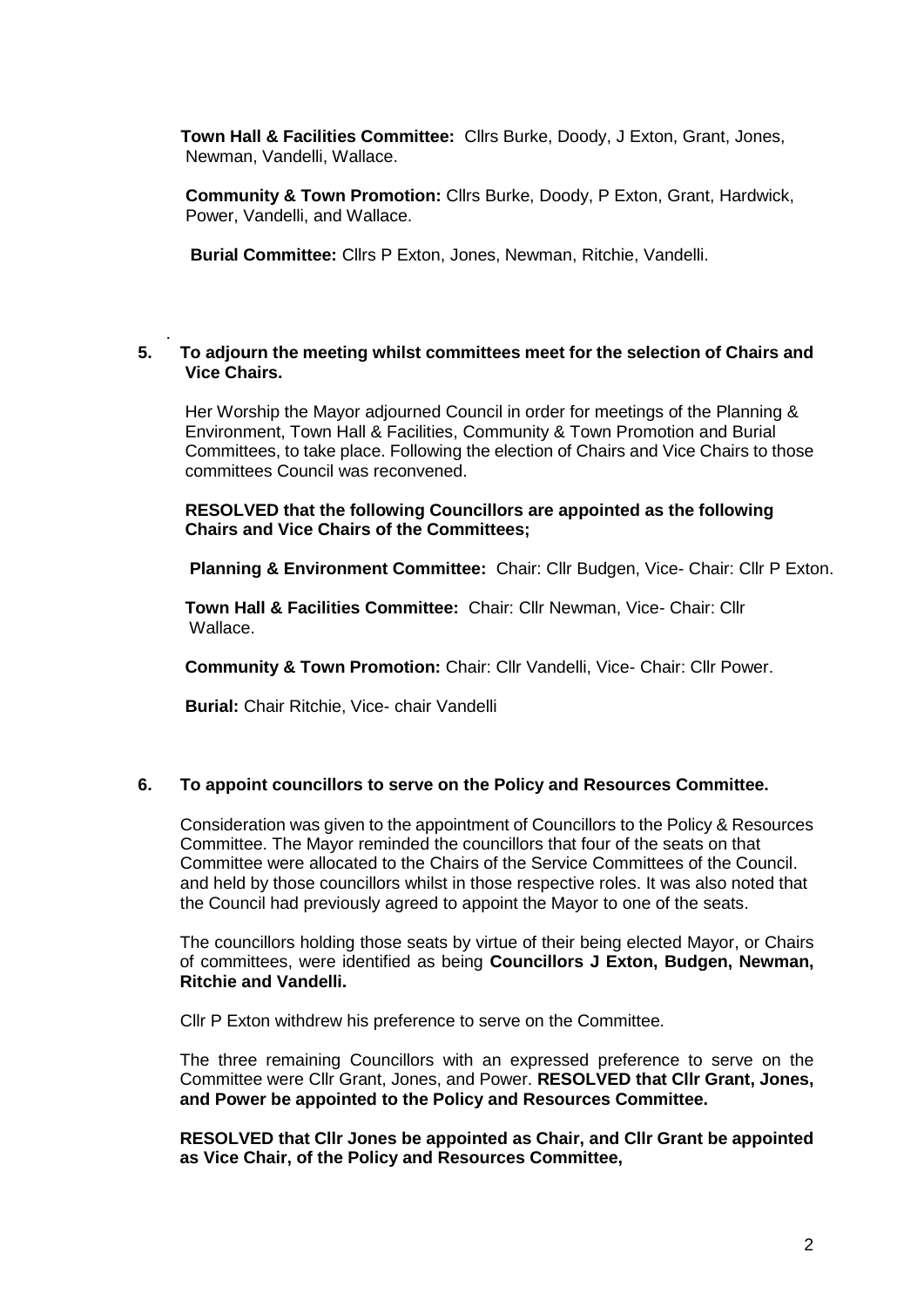**Town Hall & Facilities Committee:** Cllrs Burke, Doody, J Exton, Grant, Jones, Newman, Vandelli, Wallace.

 **Community & Town Promotion:** Cllrs Burke, Doody, P Exton, Grant, Hardwick, Power, Vandelli, and Wallace.

 **Burial Committee:** Cllrs P Exton, Jones, Newman, Ritchie, Vandelli.

#### . **5. To adjourn the meeting whilst committees meet for the selection of Chairs and Vice Chairs.**

 Her Worship the Mayor adjourned Council in order for meetings of the Planning & Environment, Town Hall & Facilities, Community & Town Promotion and Burial Committees, to take place. Following the election of Chairs and Vice Chairs to those committees Council was reconvened.

 **RESOLVED that the following Councillors are appointed as the following Chairs and Vice Chairs of the Committees;**

**Planning & Environment Committee:** Chair: Cllr Budgen, Vice- Chair: Cllr P Exton.

 **Town Hall & Facilities Committee:** Chair: Cllr Newman, Vice- Chair: Cllr Wallace.

 **Community & Town Promotion:** Chair: Cllr Vandelli, Vice- Chair: Cllr Power.

 **Burial:** Chair Ritchie, Vice- chair Vandelli

#### **6. To appoint councillors to serve on the Policy and Resources Committee.**

 Consideration was given to the appointment of Councillors to the Policy & Resources Committee. The Mayor reminded the councillors that four of the seats on that Committee were allocated to the Chairs of the Service Committees of the Council. and held by those councillors whilst in those respective roles. It was also noted that the Council had previously agreed to appoint the Mayor to one of the seats.

The councillors holding those seats by virtue of their being elected Mayor, or Chairs of committees, were identified as being **Councillors J Exton, Budgen, Newman, Ritchie and Vandelli.**

Cllr P Exton withdrew his preference to serve on the Committee.

The three remaining Councillors with an expressed preference to serve on the Committee were Cllr Grant, Jones, and Power. **RESOLVED that Cllr Grant, Jones, and Power be appointed to the Policy and Resources Committee.**

**RESOLVED that Cllr Jones be appointed as Chair, and Cllr Grant be appointed as Vice Chair, of the Policy and Resources Committee,**